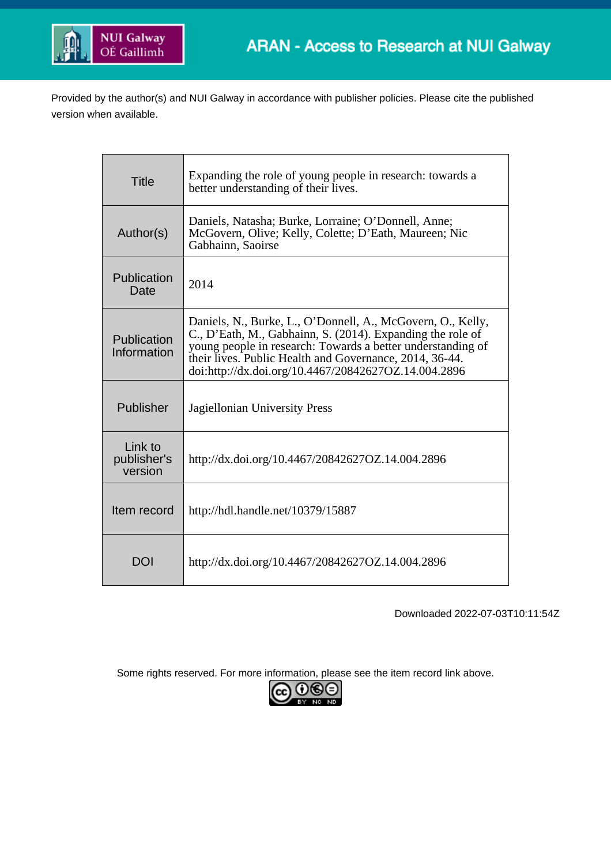

Provided by the author(s) and NUI Galway in accordance with publisher policies. Please cite the published version when available.

| <b>Title</b>                      | Expanding the role of young people in research: towards a<br>better understanding of their lives.                                                                                                                                                                                                           |
|-----------------------------------|-------------------------------------------------------------------------------------------------------------------------------------------------------------------------------------------------------------------------------------------------------------------------------------------------------------|
| Author(s)                         | Daniels, Natasha; Burke, Lorraine; O'Donnell, Anne;<br>McGovern, Olive; Kelly, Colette; D'Eath, Maureen; Nic<br>Gabhainn, Saoirse                                                                                                                                                                           |
| Publication<br>Date               | 2014                                                                                                                                                                                                                                                                                                        |
| Publication<br>Information        | Daniels, N., Burke, L., O'Donnell, A., McGovern, O., Kelly,<br>C., D'Eath, M., Gabhainn, S. (2014). Expanding the role of<br>young people in research: Towards a better understanding of<br>their lives. Public Health and Governance, 2014, 36-44.<br>doi:http://dx.doi.org/10.4467/20842627OZ.14.004.2896 |
| Publisher                         | <b>Jagiellonian University Press</b>                                                                                                                                                                                                                                                                        |
| Link to<br>publisher's<br>version | http://dx.doi.org/10.4467/20842627OZ.14.004.2896                                                                                                                                                                                                                                                            |
| Item record                       | http://hdl.handle.net/10379/15887                                                                                                                                                                                                                                                                           |
| DOI                               | http://dx.doi.org/10.4467/20842627OZ.14.004.2896                                                                                                                                                                                                                                                            |

Downloaded 2022-07-03T10:11:54Z

Some rights reserved. For more information, please see the item record link above.

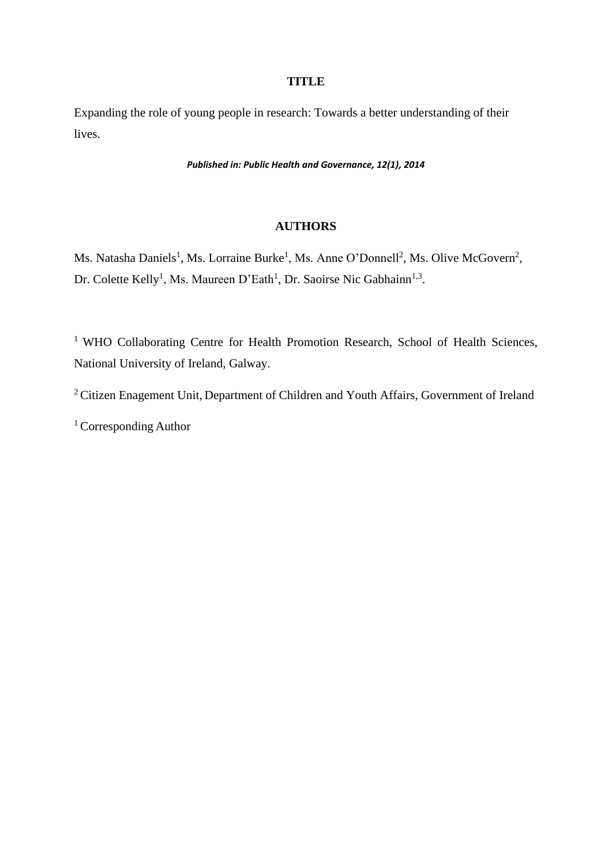#### **TITLE**

Expanding the role of young people in research: Towards a better understanding of their lives.

*Published in: Public Health and Governance, 12(1), 2014*

# **AUTHORS**

Ms. Natasha Daniels<sup>1</sup>, Ms. Lorraine Burke<sup>1</sup>, Ms. Anne O'Donnell<sup>2</sup>, Ms. Olive McGovern<sup>2</sup>, Dr. Colette Kelly<sup>1</sup>, Ms. Maureen D'Eath<sup>1</sup>, Dr. Saoirse Nic Gabhainn<sup>1,3</sup>.

<sup>1</sup> WHO Collaborating Centre for Health Promotion Research, School of Health Sciences, National University of Ireland, Galway.

<sup>2</sup> Citizen Enagement Unit, Department of Children and Youth Affairs, Government of Ireland

<sup>1</sup> Corresponding Author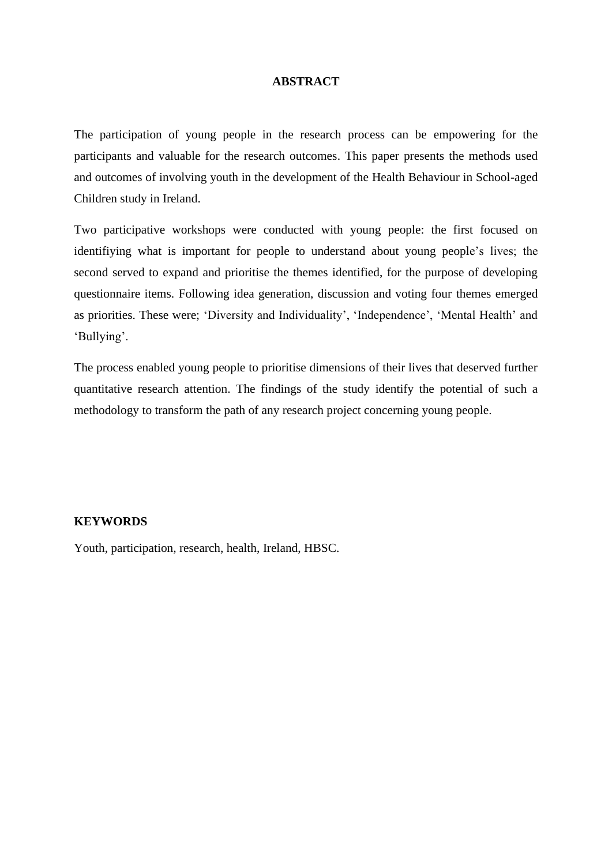### **ABSTRACT**

The participation of young people in the research process can be empowering for the participants and valuable for the research outcomes. This paper presents the methods used and outcomes of involving youth in the development of the Health Behaviour in School-aged Children study in Ireland.

Two participative workshops were conducted with young people: the first focused on identifiying what is important for people to understand about young people's lives; the second served to expand and prioritise the themes identified, for the purpose of developing questionnaire items. Following idea generation, discussion and voting four themes emerged as priorities. These were; 'Diversity and Individuality', 'Independence', 'Mental Health' and 'Bullying'.

The process enabled young people to prioritise dimensions of their lives that deserved further quantitative research attention. The findings of the study identify the potential of such a methodology to transform the path of any research project concerning young people.

### **KEYWORDS**

Youth, participation, research, health, Ireland, HBSC.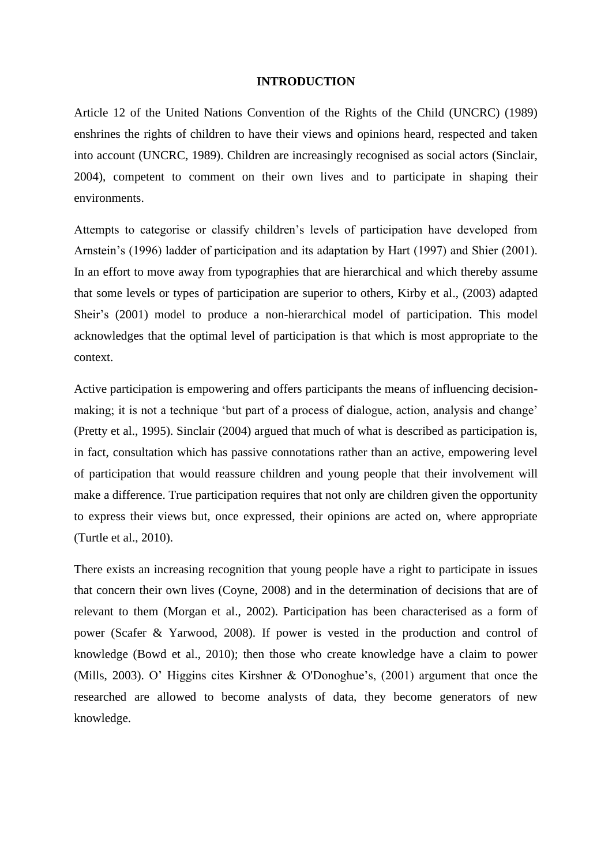#### **INTRODUCTION**

Article 12 of the United Nations Convention of the Rights of the Child (UNCRC) (1989) enshrines the rights of children to have their views and opinions heard, respected and taken into account (UNCRC, 1989). Children are increasingly recognised as social actors (Sinclair, 2004), competent to comment on their own lives and to participate in shaping their environments.

Attempts to categorise or classify children's levels of participation have developed from Arnstein's (1996) ladder of participation and its adaptation by Hart (1997) and Shier (2001). In an effort to move away from typographies that are hierarchical and which thereby assume that some levels or types of participation are superior to others, Kirby et al., (2003) adapted Sheir's (2001) model to produce a non-hierarchical model of participation. This model acknowledges that the optimal level of participation is that which is most appropriate to the context.

Active participation is empowering and offers participants the means of influencing decisionmaking; it is not a technique 'but part of a process of dialogue, action, analysis and change' (Pretty et al., 1995). Sinclair (2004) argued that much of what is described as participation is, in fact, consultation which has passive connotations rather than an active, empowering level of participation that would reassure children and young people that their involvement will make a difference. True participation requires that not only are children given the opportunity to express their views but, once expressed, their opinions are acted on, where appropriate (Turtle et al., 2010).

There exists an increasing recognition that young people have a right to participate in issues that concern their own lives (Coyne, 2008) and in the determination of decisions that are of relevant to them (Morgan et al., 2002). Participation has been characterised as a form of power (Scafer & Yarwood, 2008). If power is vested in the production and control of knowledge (Bowd et al., 2010); then those who create knowledge have a claim to power (Mills, 2003). O' Higgins cites Kirshner & O'Donoghue's, (2001) argument that once the researched are allowed to become analysts of data, they become generators of new knowledge.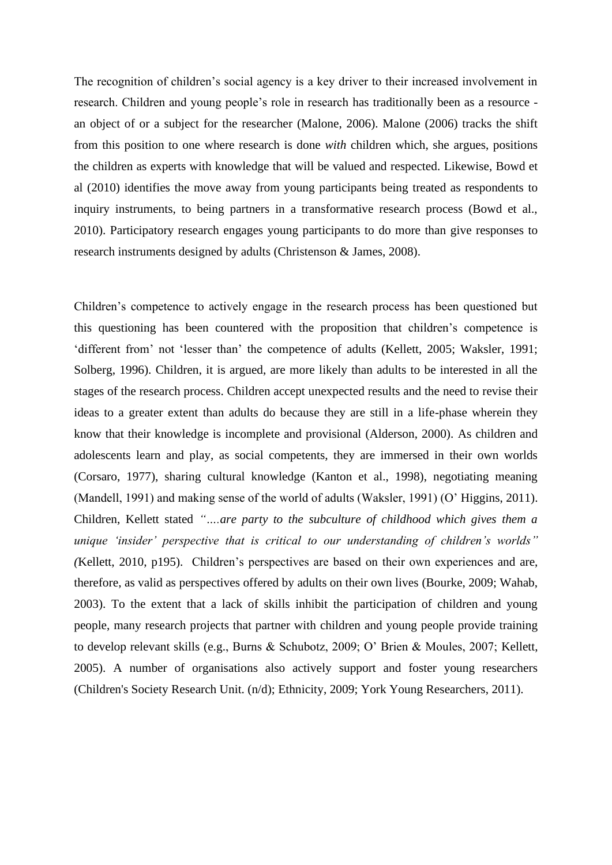The recognition of children's social agency is a key driver to their increased involvement in research. Children and young people's role in research has traditionally been as a resource an object of or a subject for the researcher (Malone, 2006). Malone (2006) tracks the shift from this position to one where research is done *with* children which, she argues, positions the children as experts with knowledge that will be valued and respected. Likewise, Bowd et al (2010) identifies the move away from young participants being treated as respondents to inquiry instruments, to being partners in a transformative research process (Bowd et al., 2010). Participatory research engages young participants to do more than give responses to research instruments designed by adults (Christenson & James, 2008).

Children's competence to actively engage in the research process has been questioned but this questioning has been countered with the proposition that children's competence is 'different from' not 'lesser than' the competence of adults (Kellett, 2005; Waksler, 1991; Solberg, 1996). Children, it is argued, are more likely than adults to be interested in all the stages of the research process. Children accept unexpected results and the need to revise their ideas to a greater extent than adults do because they are still in a life-phase wherein they know that their knowledge is incomplete and provisional (Alderson, 2000). As children and adolescents learn and play, as social competents, they are immersed in their own worlds (Corsaro, 1977), sharing cultural knowledge (Kanton et al., 1998), negotiating meaning (Mandell, 1991) and making sense of the world of adults (Waksler, 1991) (O' Higgins, 2011). Children, Kellett stated *"….are party to the subculture of childhood which gives them a unique 'insider' perspective that is critical to our understanding of children's worlds" (*Kellett, 2010, p195). Children's perspectives are based on their own experiences and are, therefore, as valid as perspectives offered by adults on their own lives (Bourke, 2009; Wahab, 2003). To the extent that a lack of skills inhibit the participation of children and young people, many research projects that partner with children and young people provide training to develop relevant skills (e.g., Burns & Schubotz, 2009; O' Brien & Moules, 2007; Kellett, 2005). A number of organisations also actively support and foster young researchers (Children's Society Research Unit. (n/d); Ethnicity, 2009; York Young Researchers, 2011).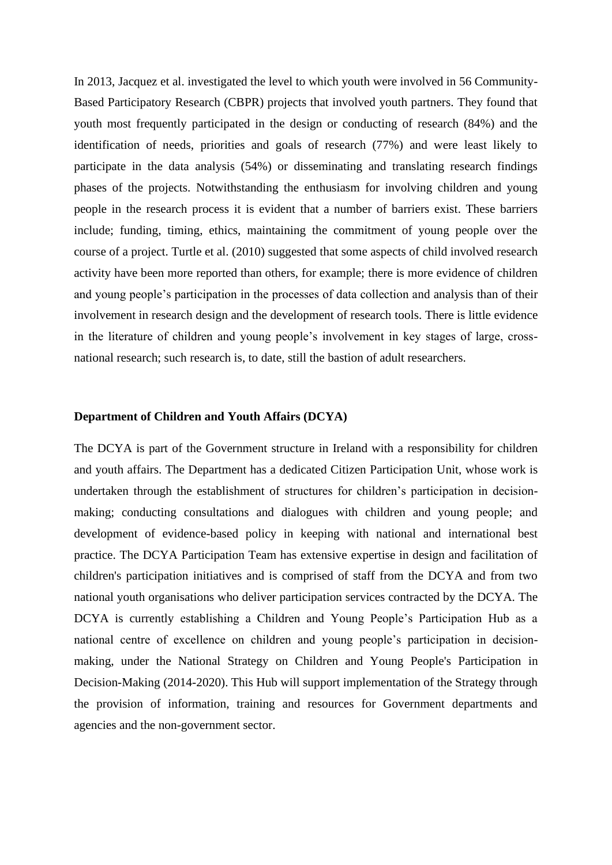In 2013, Jacquez et al. investigated the level to which youth were involved in 56 Community-Based Participatory Research (CBPR) projects that involved youth partners. They found that youth most frequently participated in the design or conducting of research (84%) and the identification of needs, priorities and goals of research (77%) and were least likely to participate in the data analysis (54%) or disseminating and translating research findings phases of the projects. Notwithstanding the enthusiasm for involving children and young people in the research process it is evident that a number of barriers exist. These barriers include; funding, timing, ethics, maintaining the commitment of young people over the course of a project. Turtle et al. (2010) suggested that some aspects of child involved research activity have been more reported than others, for example; there is more evidence of children and young people's participation in the processes of data collection and analysis than of their involvement in research design and the development of research tools. There is little evidence in the literature of children and young people's involvement in key stages of large, crossnational research; such research is, to date, still the bastion of adult researchers.

#### **Department of Children and Youth Affairs (DCYA)**

The DCYA is part of the Government structure in Ireland with a responsibility for children and youth affairs. The Department has a dedicated Citizen Participation Unit, whose work is undertaken through the establishment of structures for children's participation in decisionmaking; conducting consultations and dialogues with children and young people; and development of evidence-based policy in keeping with national and international best practice. The DCYA Participation Team has extensive expertise in design and facilitation of children's participation initiatives and is comprised of staff from the DCYA and from two national youth organisations who deliver participation services contracted by the DCYA. The DCYA is currently establishing a Children and Young People's Participation Hub as a national centre of excellence on children and young people's participation in decisionmaking, under the National Strategy on Children and Young People's Participation in Decision-Making (2014-2020). This Hub will support implementation of the Strategy through the provision of information, training and resources for Government departments and agencies and the non-government sector.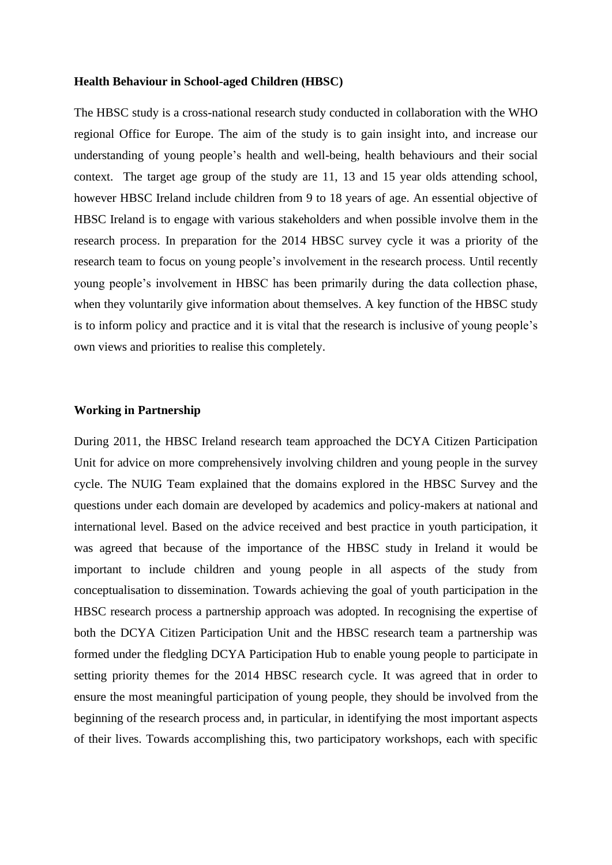#### **Health Behaviour in School-aged Children (HBSC)**

The HBSC study is a cross-national research study conducted in collaboration with the WHO regional Office for Europe. The aim of the study is to gain insight into, and increase our understanding of young people's health and well-being, health behaviours and their social context. The target age group of the study are 11, 13 and 15 year olds attending school, however HBSC Ireland include children from 9 to 18 years of age. An essential objective of HBSC Ireland is to engage with various stakeholders and when possible involve them in the research process. In preparation for the 2014 HBSC survey cycle it was a priority of the research team to focus on young people's involvement in the research process. Until recently young people's involvement in HBSC has been primarily during the data collection phase, when they voluntarily give information about themselves. A key function of the HBSC study is to inform policy and practice and it is vital that the research is inclusive of young people's own views and priorities to realise this completely.

### **Working in Partnership**

During 2011, the HBSC Ireland research team approached the DCYA Citizen Participation Unit for advice on more comprehensively involving children and young people in the survey cycle. The NUIG Team explained that the domains explored in the HBSC Survey and the questions under each domain are developed by academics and policy-makers at national and international level. Based on the advice received and best practice in youth participation, it was agreed that because of the importance of the HBSC study in Ireland it would be important to include children and young people in all aspects of the study from conceptualisation to dissemination. Towards achieving the goal of youth participation in the HBSC research process a partnership approach was adopted. In recognising the expertise of both the DCYA Citizen Participation Unit and the HBSC research team a partnership was formed under the fledgling DCYA Participation Hub to enable young people to participate in setting priority themes for the 2014 HBSC research cycle. It was agreed that in order to ensure the most meaningful participation of young people, they should be involved from the beginning of the research process and, in particular, in identifying the most important aspects of their lives. Towards accomplishing this, two participatory workshops, each with specific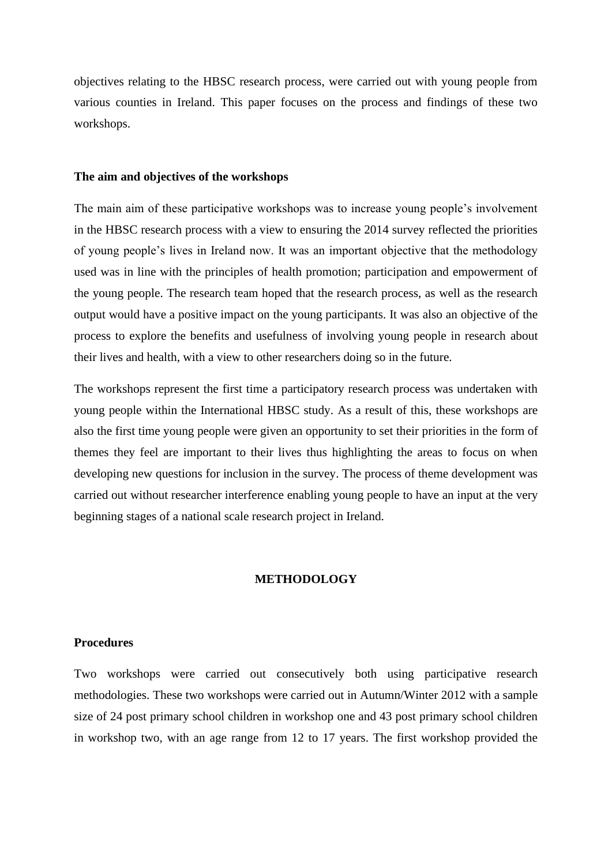objectives relating to the HBSC research process, were carried out with young people from various counties in Ireland. This paper focuses on the process and findings of these two workshops.

### **The aim and objectives of the workshops**

The main aim of these participative workshops was to increase young people's involvement in the HBSC research process with a view to ensuring the 2014 survey reflected the priorities of young people's lives in Ireland now. It was an important objective that the methodology used was in line with the principles of health promotion; participation and empowerment of the young people. The research team hoped that the research process, as well as the research output would have a positive impact on the young participants. It was also an objective of the process to explore the benefits and usefulness of involving young people in research about their lives and health, with a view to other researchers doing so in the future.

The workshops represent the first time a participatory research process was undertaken with young people within the International HBSC study. As a result of this, these workshops are also the first time young people were given an opportunity to set their priorities in the form of themes they feel are important to their lives thus highlighting the areas to focus on when developing new questions for inclusion in the survey. The process of theme development was carried out without researcher interference enabling young people to have an input at the very beginning stages of a national scale research project in Ireland.

### **METHODOLOGY**

### **Procedures**

Two workshops were carried out consecutively both using participative research methodologies. These two workshops were carried out in Autumn/Winter 2012 with a sample size of 24 post primary school children in workshop one and 43 post primary school children in workshop two, with an age range from 12 to 17 years. The first workshop provided the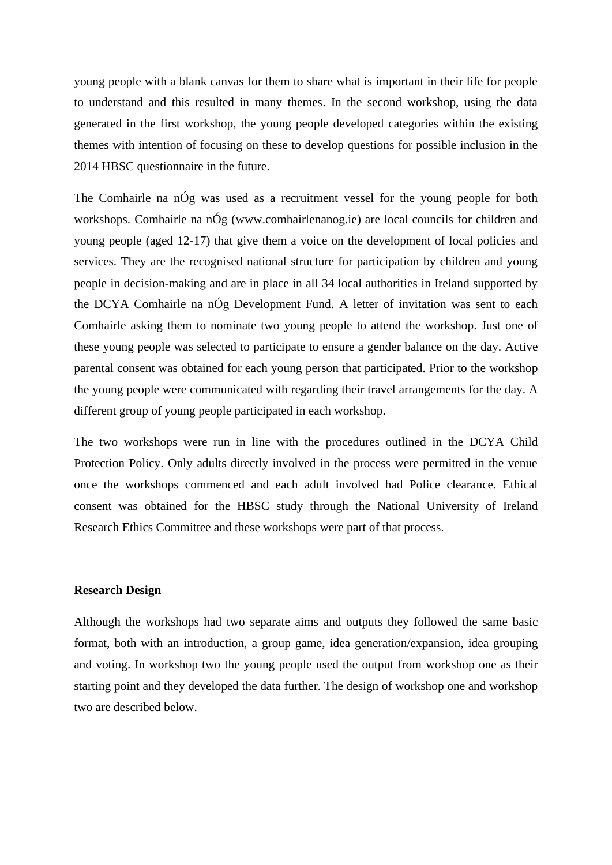young people with a blank canvas for them to share what is important in their life for people to understand and this resulted in many themes. In the second workshop, using the data generated in the first workshop, the young people developed categories within the existing themes with intention of focusing on these to develop questions for possible inclusion in the 2014 HBSC questionnaire in the future.

The Comhairle na nÓg was used as a recruitment vessel for the young people for both workshops. Comhairle na nÓg [\(www.comhairlenanog.ie\)](http://www.comhairlenanog.ie/) are local councils for children and young people (aged 12-17) that give them a voice on the development of local policies and services. They are the recognised national structure for participation by children and young people in decision-making and are in place in all 34 local authorities in Ireland supported by the DCYA Comhairle na nÓg Development Fund. A letter of invitation was sent to each Comhairle asking them to nominate two young people to attend the workshop. Just one of these young people was selected to participate to ensure a gender balance on the day. Active parental consent was obtained for each young person that participated. Prior to the workshop the young people were communicated with regarding their travel arrangements for the day. A different group of young people participated in each workshop.

The two workshops were run in line with the procedures outlined in the DCYA Child Protection Policy. Only adults directly involved in the process were permitted in the venue once the workshops commenced and each adult involved had Police clearance. Ethical consent was obtained for the HBSC study through the National University of Ireland Research Ethics Committee and these workshops were part of that process.

### **Research Design**

Although the workshops had two separate aims and outputs they followed the same basic format, both with an introduction, a group game, idea generation/expansion, idea grouping and voting. In workshop two the young people used the output from workshop one as their starting point and they developed the data further. The design of workshop one and workshop two are described below.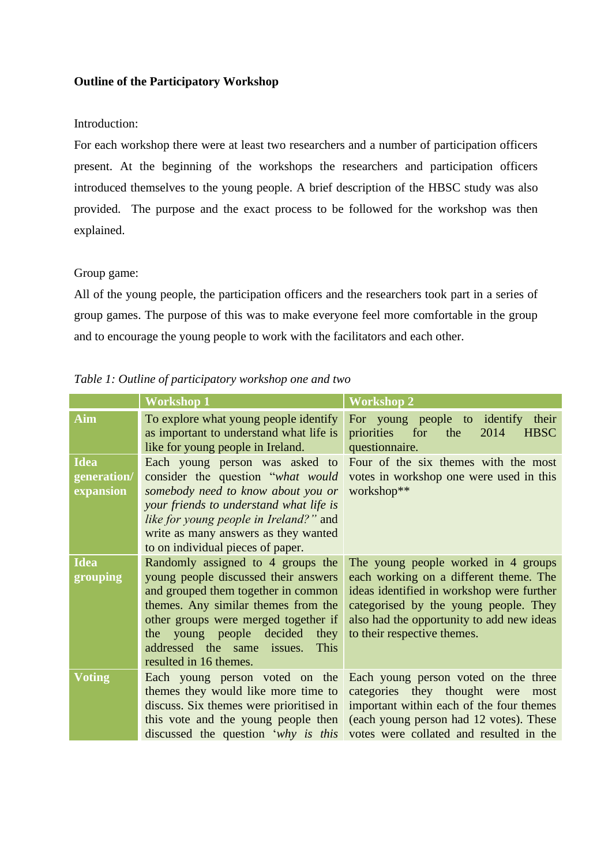# **Outline of the Participatory Workshop**

### Introduction:

For each workshop there were at least two researchers and a number of participation officers present. At the beginning of the workshops the researchers and participation officers introduced themselves to the young people. A brief description of the HBSC study was also provided. The purpose and the exact process to be followed for the workshop was then explained.

# Group game:

All of the young people, the participation officers and the researchers took part in a series of group games. The purpose of this was to make everyone feel more comfortable in the group and to encourage the young people to work with the facilitators and each other.

|                                         | <b>Workshop 1</b>                                                                                                                                                                                                                                                                                         | <b>Workshop 2</b>                                                                                                                                                                                                                               |
|-----------------------------------------|-----------------------------------------------------------------------------------------------------------------------------------------------------------------------------------------------------------------------------------------------------------------------------------------------------------|-------------------------------------------------------------------------------------------------------------------------------------------------------------------------------------------------------------------------------------------------|
| Aim                                     | To explore what young people identify<br>as important to understand what life is<br>like for young people in Ireland.                                                                                                                                                                                     | For young people to identify<br>their<br>2014<br>priorities<br>for<br>the<br><b>HBSC</b><br>questionnaire.                                                                                                                                      |
| <b>Idea</b><br>generation/<br>expansion | Each young person was asked to<br>consider the question "what would<br>somebody need to know about you or<br>your friends to understand what life is<br>like for young people in Ireland?" and<br>write as many answers as they wanted<br>to on individual pieces of paper.                               | Four of the six themes with the most<br>votes in workshop one were used in this<br>workshop**                                                                                                                                                   |
| <b>Idea</b><br>grouping                 | Randomly assigned to 4 groups the<br>young people discussed their answers<br>and grouped them together in common<br>themes. Any similar themes from the<br>other groups were merged together if<br>young people decided<br>they<br>the<br>addressed the same<br>This<br>issues.<br>resulted in 16 themes. | The young people worked in 4 groups<br>each working on a different theme. The<br>ideas identified in workshop were further<br>categorised by the young people. They<br>also had the opportunity to add new ideas<br>to their respective themes. |
| <b>Voting</b>                           | Each young person voted on the<br>themes they would like more time to<br>discuss. Six themes were prioritised in<br>this vote and the young people then<br>discussed the question 'why is this                                                                                                            | Each young person voted on the three<br>categories they thought were<br>most<br>important within each of the four themes<br>(each young person had 12 votes). These<br>votes were collated and resulted in the                                  |

# *Table 1: Outline of participatory workshop one and two*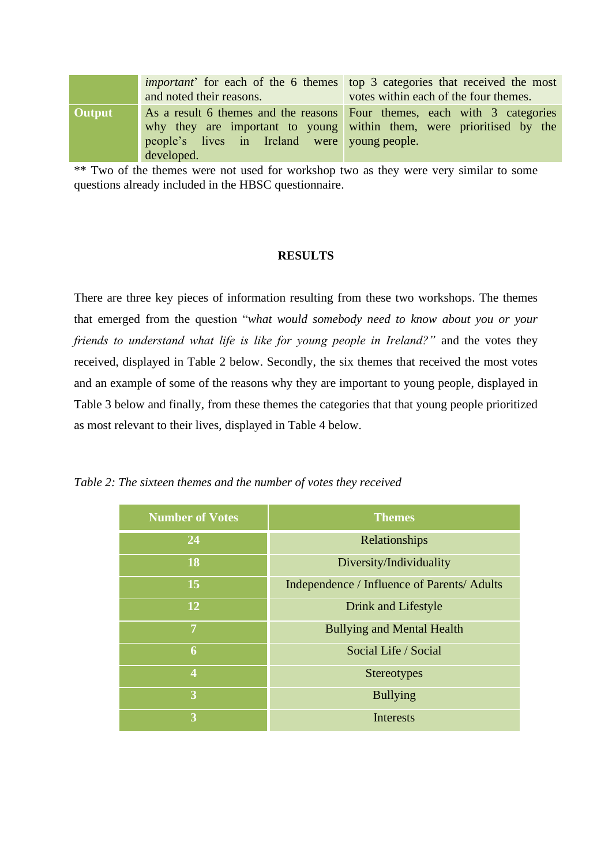|               | and noted their reasons.                                   | <i>important</i> for each of the 6 themes top 3 categories that received the most<br>votes within each of the four themes.                       |
|---------------|------------------------------------------------------------|--------------------------------------------------------------------------------------------------------------------------------------------------|
| <b>Output</b> | people's lives in Ireland were young people.<br>developed. | As a result 6 themes and the reasons Four themes, each with 3 categories<br>why they are important to young within them, were prioritised by the |

\*\* Two of the themes were not used for workshop two as they were very similar to some questions already included in the HBSC questionnaire.

# **RESULTS**

There are three key pieces of information resulting from these two workshops. The themes that emerged from the question "*what would somebody need to know about you or your friends to understand what life is like for young people in Ireland?"* and the votes they received, displayed in Table 2 below. Secondly, the six themes that received the most votes and an example of some of the reasons why they are important to young people, displayed in Table 3 below and finally, from these themes the categories that that young people prioritized as most relevant to their lives, displayed in Table 4 below.

*Table 2: The sixteen themes and the number of votes they received*

| <b>Number of Votes</b>  | <b>Themes</b>                               |
|-------------------------|---------------------------------------------|
| 24                      | Relationships                               |
| 18                      | Diversity/Individuality                     |
| 15                      | Independence / Influence of Parents/ Adults |
| 12                      | Drink and Lifestyle                         |
| 7                       | <b>Bullying and Mental Health</b>           |
| 6                       | Social Life / Social                        |
| $\overline{\mathbf{4}}$ | Stereotypes                                 |
| 3                       | <b>Bullying</b>                             |
| 3                       | <b>Interests</b>                            |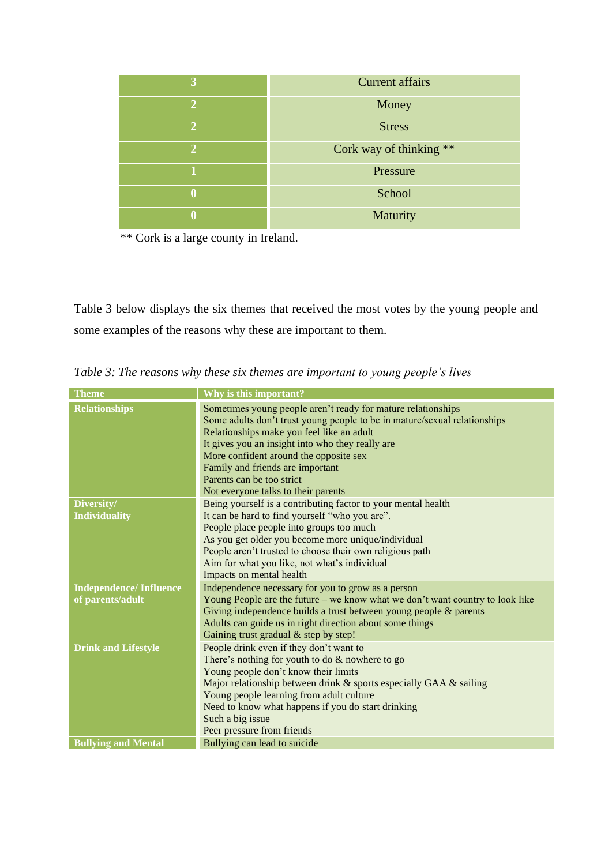|                | <b>Current affairs</b>  |
|----------------|-------------------------|
| $\mathbf{2}$   | Money                   |
| $\overline{2}$ | <b>Stress</b>           |
| 2.             | Cork way of thinking ** |
|                | Pressure                |
| ⋂              | School                  |
|                | Maturity                |

\*\* Cork is a large county in Ireland.

Table 3 below displays the six themes that received the most votes by the young people and some examples of the reasons why these are important to them.

*Table 3: The reasons why these six themes are important to young people's lives*

| <b>Theme</b>                       | Why is this important?                                                                                                                                                                                                                                                                                                                                                                       |
|------------------------------------|----------------------------------------------------------------------------------------------------------------------------------------------------------------------------------------------------------------------------------------------------------------------------------------------------------------------------------------------------------------------------------------------|
| <b>Relationships</b>               | Sometimes young people aren't ready for mature relationships<br>Some adults don't trust young people to be in mature/sexual relationships<br>Relationships make you feel like an adult<br>It gives you an insight into who they really are<br>More confident around the opposite sex<br>Family and friends are important<br>Parents can be too strict<br>Not everyone talks to their parents |
| Diversity/<br><b>Individuality</b> | Being yourself is a contributing factor to your mental health<br>It can be hard to find yourself "who you are".<br>People place people into groups too much<br>As you get older you become more unique/individual<br>People aren't trusted to choose their own religious path<br>Aim for what you like, not what's individual<br>Impacts on mental health                                    |
| <b>Independence/Influence</b>      | Independence necessary for you to grow as a person                                                                                                                                                                                                                                                                                                                                           |
| of parents/adult                   | Young People are the future – we know what we don't want country to look like<br>Giving independence builds a trust between young people $\&$ parents<br>Adults can guide us in right direction about some things<br>Gaining trust gradual $&$ step by step!                                                                                                                                 |
| <b>Drink and Lifestyle</b>         | People drink even if they don't want to<br>There's nothing for youth to do $&$ nowhere to go<br>Young people don't know their limits<br>Major relationship between drink & sports especially GAA & sailing<br>Young people learning from adult culture<br>Need to know what happens if you do start drinking<br>Such a big issue<br>Peer pressure from friends                               |
| <b>Bullying and Mental</b>         | Bullying can lead to suicide                                                                                                                                                                                                                                                                                                                                                                 |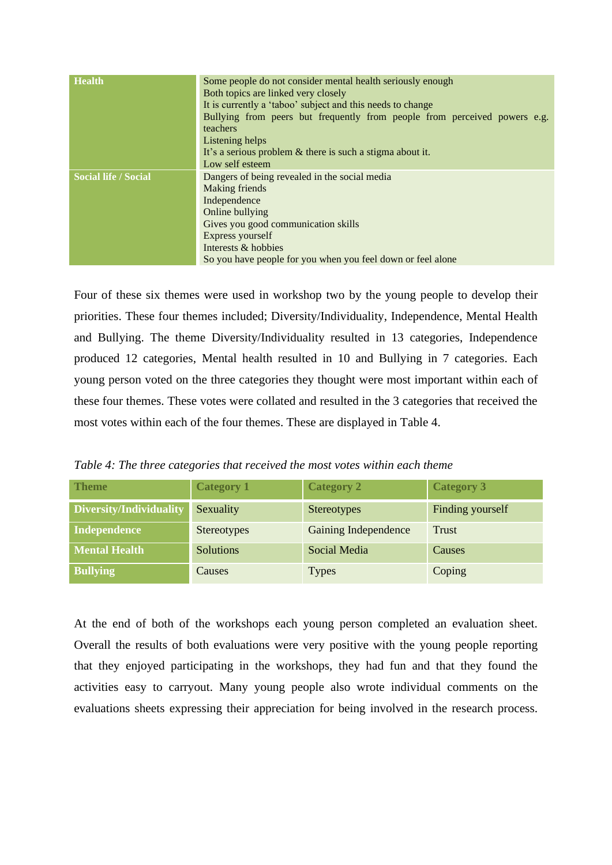| <b>Health</b>               | Some people do not consider mental health seriously enough<br>Both topics are linked very closely<br>It is currently a 'taboo' subject and this needs to change<br>Bullying from peers but frequently from people from perceived powers e.g.<br>teachers<br>Listening helps<br>It's a serious problem $\&$ there is such a stigma about it.<br>Low self esteem |
|-----------------------------|----------------------------------------------------------------------------------------------------------------------------------------------------------------------------------------------------------------------------------------------------------------------------------------------------------------------------------------------------------------|
| <b>Social life / Social</b> | Dangers of being revealed in the social media<br>Making friends<br>Independence<br>Online bullying<br>Gives you good communication skills<br>Express yourself<br>Interests & hobbies<br>So you have people for you when you feel down or feel alone                                                                                                            |

Four of these six themes were used in workshop two by the young people to develop their priorities. These four themes included; Diversity/Individuality, Independence, Mental Health and Bullying. The theme Diversity/Individuality resulted in 13 categories, Independence produced 12 categories, Mental health resulted in 10 and Bullying in 7 categories. Each young person voted on the three categories they thought were most important within each of these four themes. These votes were collated and resulted in the 3 categories that received the most votes within each of the four themes. These are displayed in Table 4.

*Table 4: The three categories that received the most votes within each theme*

| <b>Theme</b>                   | <b>Category 1</b>  | <b>Category 2</b>    | <b>Category 3</b> |
|--------------------------------|--------------------|----------------------|-------------------|
| <b>Diversity/Individuality</b> | Sexuality          | <b>Stereotypes</b>   | Finding yourself  |
| <b>Independence</b>            | <b>Stereotypes</b> | Gaining Independence | Trust             |
| <b>Mental Health</b>           | <b>Solutions</b>   | Social Media         | Causes            |
| <b>Bullying</b>                | Causes             | <b>Types</b>         | Coping            |

At the end of both of the workshops each young person completed an evaluation sheet. Overall the results of both evaluations were very positive with the young people reporting that they enjoyed participating in the workshops, they had fun and that they found the activities easy to carryout. Many young people also wrote individual comments on the evaluations sheets expressing their appreciation for being involved in the research process.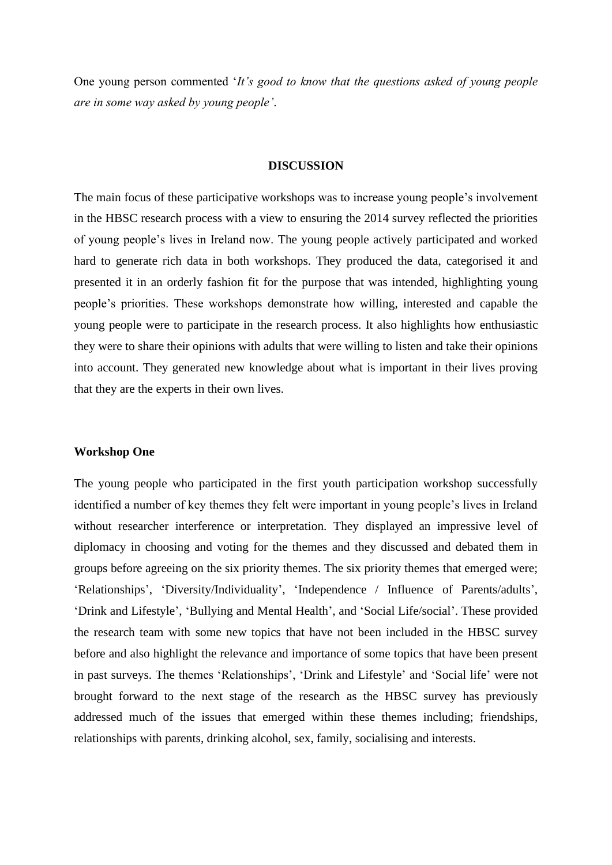One young person commented '*It's good to know that the questions asked of young people are in some way asked by young people'*.

### **DISCUSSION**

The main focus of these participative workshops was to increase young people's involvement in the HBSC research process with a view to ensuring the 2014 survey reflected the priorities of young people's lives in Ireland now. The young people actively participated and worked hard to generate rich data in both workshops. They produced the data, categorised it and presented it in an orderly fashion fit for the purpose that was intended, highlighting young people's priorities. These workshops demonstrate how willing, interested and capable the young people were to participate in the research process. It also highlights how enthusiastic they were to share their opinions with adults that were willing to listen and take their opinions into account. They generated new knowledge about what is important in their lives proving that they are the experts in their own lives.

#### **Workshop One**

The young people who participated in the first youth participation workshop successfully identified a number of key themes they felt were important in young people's lives in Ireland without researcher interference or interpretation. They displayed an impressive level of diplomacy in choosing and voting for the themes and they discussed and debated them in groups before agreeing on the six priority themes. The six priority themes that emerged were; 'Relationships', 'Diversity/Individuality', 'Independence / Influence of Parents/adults', 'Drink and Lifestyle', 'Bullying and Mental Health', and 'Social Life/social'. These provided the research team with some new topics that have not been included in the HBSC survey before and also highlight the relevance and importance of some topics that have been present in past surveys. The themes 'Relationships', 'Drink and Lifestyle' and 'Social life' were not brought forward to the next stage of the research as the HBSC survey has previously addressed much of the issues that emerged within these themes including; friendships, relationships with parents, drinking alcohol, sex, family, socialising and interests.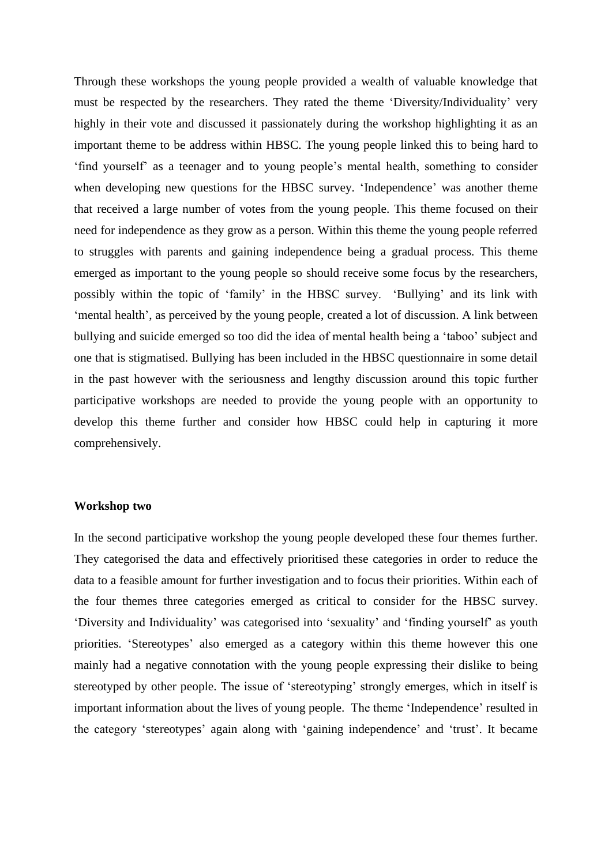Through these workshops the young people provided a wealth of valuable knowledge that must be respected by the researchers. They rated the theme 'Diversity/Individuality' very highly in their vote and discussed it passionately during the workshop highlighting it as an important theme to be address within HBSC. The young people linked this to being hard to 'find yourself' as a teenager and to young people's mental health, something to consider when developing new questions for the HBSC survey. 'Independence' was another theme that received a large number of votes from the young people. This theme focused on their need for independence as they grow as a person. Within this theme the young people referred to struggles with parents and gaining independence being a gradual process. This theme emerged as important to the young people so should receive some focus by the researchers, possibly within the topic of 'family' in the HBSC survey. 'Bullying' and its link with 'mental health', as perceived by the young people, created a lot of discussion. A link between bullying and suicide emerged so too did the idea of mental health being a 'taboo' subject and one that is stigmatised. Bullying has been included in the HBSC questionnaire in some detail in the past however with the seriousness and lengthy discussion around this topic further participative workshops are needed to provide the young people with an opportunity to develop this theme further and consider how HBSC could help in capturing it more comprehensively.

### **Workshop two**

In the second participative workshop the young people developed these four themes further. They categorised the data and effectively prioritised these categories in order to reduce the data to a feasible amount for further investigation and to focus their priorities. Within each of the four themes three categories emerged as critical to consider for the HBSC survey. 'Diversity and Individuality' was categorised into 'sexuality' and 'finding yourself' as youth priorities. 'Stereotypes' also emerged as a category within this theme however this one mainly had a negative connotation with the young people expressing their dislike to being stereotyped by other people. The issue of 'stereotyping' strongly emerges, which in itself is important information about the lives of young people. The theme 'Independence' resulted in the category 'stereotypes' again along with 'gaining independence' and 'trust'. It became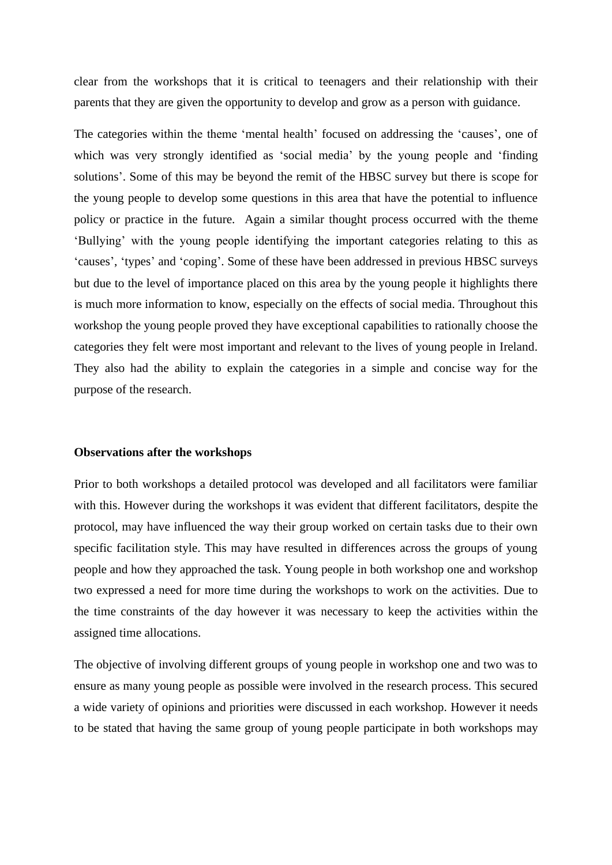clear from the workshops that it is critical to teenagers and their relationship with their parents that they are given the opportunity to develop and grow as a person with guidance.

The categories within the theme 'mental health' focused on addressing the 'causes', one of which was very strongly identified as 'social media' by the young people and 'finding solutions'. Some of this may be beyond the remit of the HBSC survey but there is scope for the young people to develop some questions in this area that have the potential to influence policy or practice in the future. Again a similar thought process occurred with the theme 'Bullying' with the young people identifying the important categories relating to this as 'causes', 'types' and 'coping'. Some of these have been addressed in previous HBSC surveys but due to the level of importance placed on this area by the young people it highlights there is much more information to know, especially on the effects of social media. Throughout this workshop the young people proved they have exceptional capabilities to rationally choose the categories they felt were most important and relevant to the lives of young people in Ireland. They also had the ability to explain the categories in a simple and concise way for the purpose of the research.

#### **Observations after the workshops**

Prior to both workshops a detailed protocol was developed and all facilitators were familiar with this. However during the workshops it was evident that different facilitators, despite the protocol, may have influenced the way their group worked on certain tasks due to their own specific facilitation style. This may have resulted in differences across the groups of young people and how they approached the task. Young people in both workshop one and workshop two expressed a need for more time during the workshops to work on the activities. Due to the time constraints of the day however it was necessary to keep the activities within the assigned time allocations.

The objective of involving different groups of young people in workshop one and two was to ensure as many young people as possible were involved in the research process. This secured a wide variety of opinions and priorities were discussed in each workshop. However it needs to be stated that having the same group of young people participate in both workshops may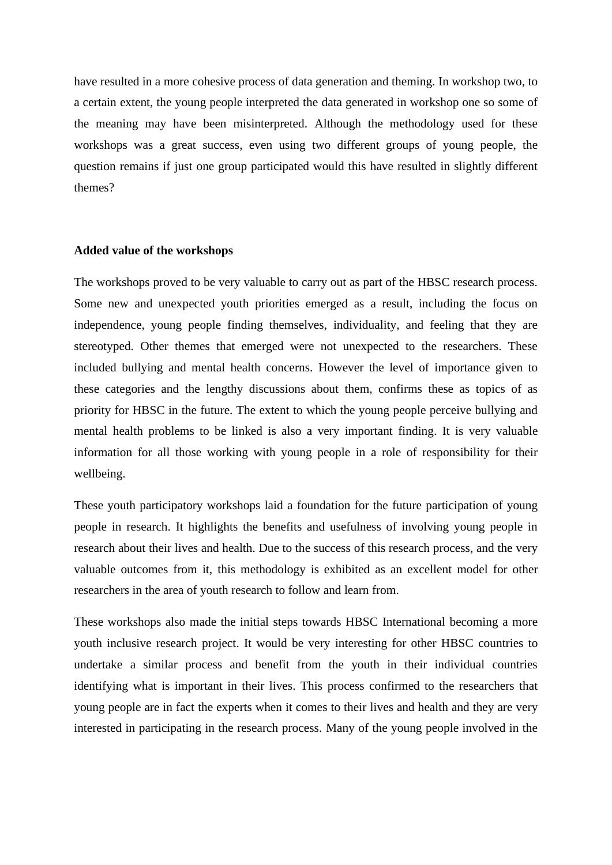have resulted in a more cohesive process of data generation and theming. In workshop two, to a certain extent, the young people interpreted the data generated in workshop one so some of the meaning may have been misinterpreted. Although the methodology used for these workshops was a great success, even using two different groups of young people, the question remains if just one group participated would this have resulted in slightly different themes?

#### **Added value of the workshops**

The workshops proved to be very valuable to carry out as part of the HBSC research process. Some new and unexpected youth priorities emerged as a result, including the focus on independence, young people finding themselves, individuality, and feeling that they are stereotyped. Other themes that emerged were not unexpected to the researchers. These included bullying and mental health concerns. However the level of importance given to these categories and the lengthy discussions about them, confirms these as topics of as priority for HBSC in the future. The extent to which the young people perceive bullying and mental health problems to be linked is also a very important finding. It is very valuable information for all those working with young people in a role of responsibility for their wellbeing.

These youth participatory workshops laid a foundation for the future participation of young people in research. It highlights the benefits and usefulness of involving young people in research about their lives and health. Due to the success of this research process, and the very valuable outcomes from it, this methodology is exhibited as an excellent model for other researchers in the area of youth research to follow and learn from.

These workshops also made the initial steps towards HBSC International becoming a more youth inclusive research project. It would be very interesting for other HBSC countries to undertake a similar process and benefit from the youth in their individual countries identifying what is important in their lives. This process confirmed to the researchers that young people are in fact the experts when it comes to their lives and health and they are very interested in participating in the research process. Many of the young people involved in the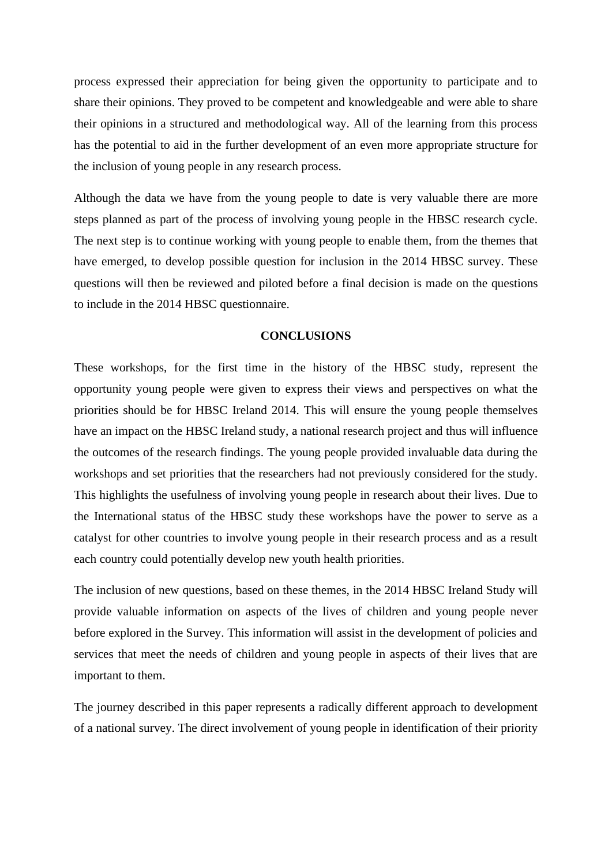process expressed their appreciation for being given the opportunity to participate and to share their opinions. They proved to be competent and knowledgeable and were able to share their opinions in a structured and methodological way. All of the learning from this process has the potential to aid in the further development of an even more appropriate structure for the inclusion of young people in any research process.

Although the data we have from the young people to date is very valuable there are more steps planned as part of the process of involving young people in the HBSC research cycle. The next step is to continue working with young people to enable them, from the themes that have emerged, to develop possible question for inclusion in the 2014 HBSC survey. These questions will then be reviewed and piloted before a final decision is made on the questions to include in the 2014 HBSC questionnaire.

### **CONCLUSIONS**

These workshops, for the first time in the history of the HBSC study, represent the opportunity young people were given to express their views and perspectives on what the priorities should be for HBSC Ireland 2014. This will ensure the young people themselves have an impact on the HBSC Ireland study, a national research project and thus will influence the outcomes of the research findings. The young people provided invaluable data during the workshops and set priorities that the researchers had not previously considered for the study. This highlights the usefulness of involving young people in research about their lives. Due to the International status of the HBSC study these workshops have the power to serve as a catalyst for other countries to involve young people in their research process and as a result each country could potentially develop new youth health priorities.

The inclusion of new questions, based on these themes, in the 2014 HBSC Ireland Study will provide valuable information on aspects of the lives of children and young people never before explored in the Survey. This information will assist in the development of policies and services that meet the needs of children and young people in aspects of their lives that are important to them.

The journey described in this paper represents a radically different approach to development of a national survey. The direct involvement of young people in identification of their priority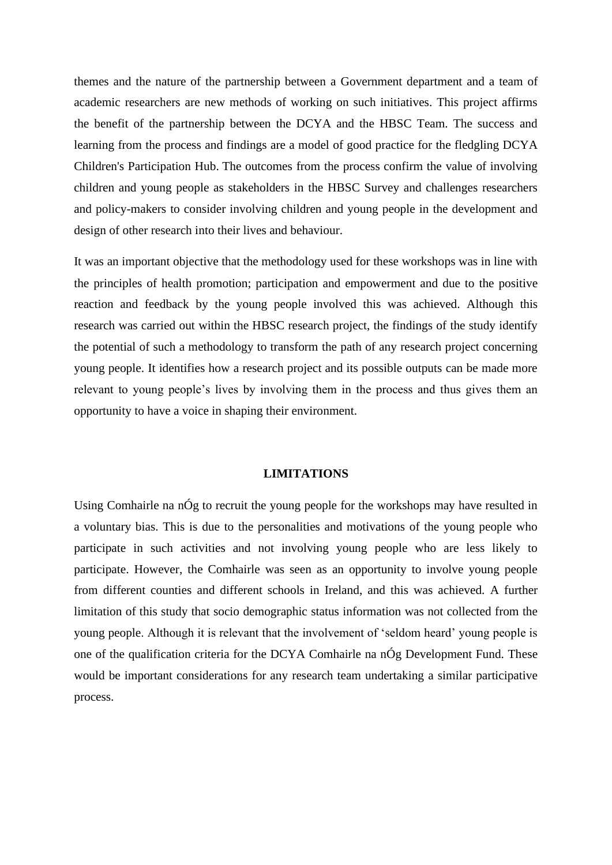themes and the nature of the partnership between a Government department and a team of academic researchers are new methods of working on such initiatives. This project affirms the benefit of the partnership between the DCYA and the HBSC Team. The success and learning from the process and findings are a model of good practice for the fledgling DCYA Children's Participation Hub. The outcomes from the process confirm the value of involving children and young people as stakeholders in the HBSC Survey and challenges researchers and policy-makers to consider involving children and young people in the development and design of other research into their lives and behaviour.

It was an important objective that the methodology used for these workshops was in line with the principles of health promotion; participation and empowerment and due to the positive reaction and feedback by the young people involved this was achieved. Although this research was carried out within the HBSC research project, the findings of the study identify the potential of such a methodology to transform the path of any research project concerning young people. It identifies how a research project and its possible outputs can be made more relevant to young people's lives by involving them in the process and thus gives them an opportunity to have a voice in shaping their environment.

### **LIMITATIONS**

Using Comhairle na nÓg to recruit the young people for the workshops may have resulted in a voluntary bias. This is due to the personalities and motivations of the young people who participate in such activities and not involving young people who are less likely to participate. However, the Comhairle was seen as an opportunity to involve young people from different counties and different schools in Ireland, and this was achieved. A further limitation of this study that socio demographic status information was not collected from the young people. Although it is relevant that the involvement of 'seldom heard' young people is one of the qualification criteria for the DCYA Comhairle na nÓg Development Fund. These would be important considerations for any research team undertaking a similar participative process.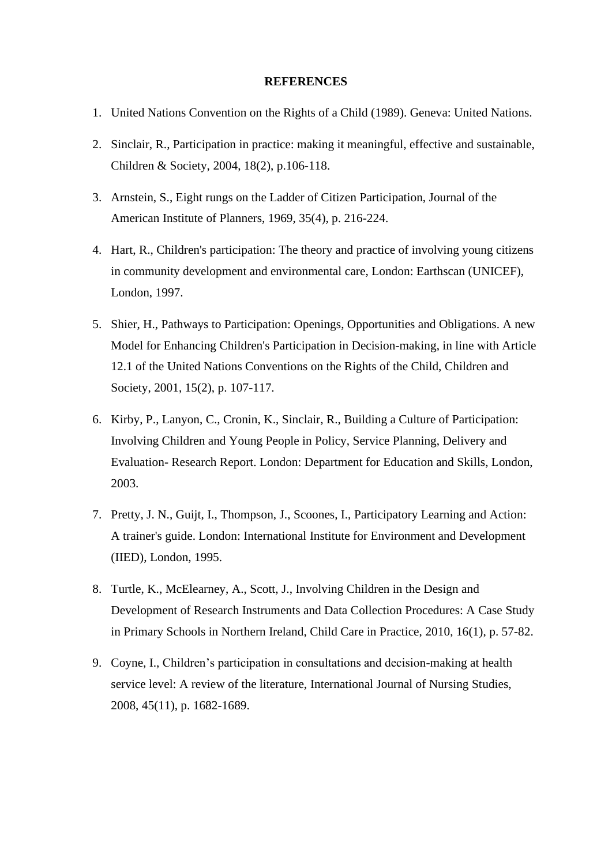#### **REFERENCES**

- 1. United Nations Convention on the Rights of a Child (1989). Geneva: United Nations.
- 2. Sinclair, R., Participation in practice: making it meaningful, effective and sustainable, Children & Society, 2004, 18(2), p.106-118.
- 3. Arnstein, S., Eight rungs on the Ladder of Citizen Participation, Journal of the American Institute of Planners, 1969, 35(4), p. 216-224.
- 4. Hart, R., Children's participation: The theory and practice of involving young citizens in community development and environmental care, London: Earthscan (UNICEF), London, 1997.
- 5. Shier, H., Pathways to Participation: Openings, Opportunities and Obligations. A new Model for Enhancing Children's Participation in Decision-making, in line with Article 12.1 of the United Nations Conventions on the Rights of the Child, Children and Society, 2001, 15(2), p. 107-117.
- 6. Kirby, P., Lanyon, C., Cronin, K., Sinclair, R., Building a Culture of Participation: Involving Children and Young People in Policy, Service Planning, Delivery and Evaluation- Research Report. London: Department for Education and Skills, London, 2003.
- 7. Pretty, J. N., Guijt, I., Thompson, J., Scoones, I., Participatory Learning and Action: A trainer's guide. London: International Institute for Environment and Development (IIED), London, 1995.
- 8. Turtle, K., McElearney, A., Scott, J., Involving Children in the Design and Development of Research Instruments and Data Collection Procedures: A Case Study in Primary Schools in Northern Ireland, Child Care in Practice, 2010, 16(1), p. 57-82.
- 9. Coyne, I., Children's participation in consultations and decision-making at health service level: A review of the literature, International Journal of Nursing Studies, 2008, 45(11), p. 1682-1689.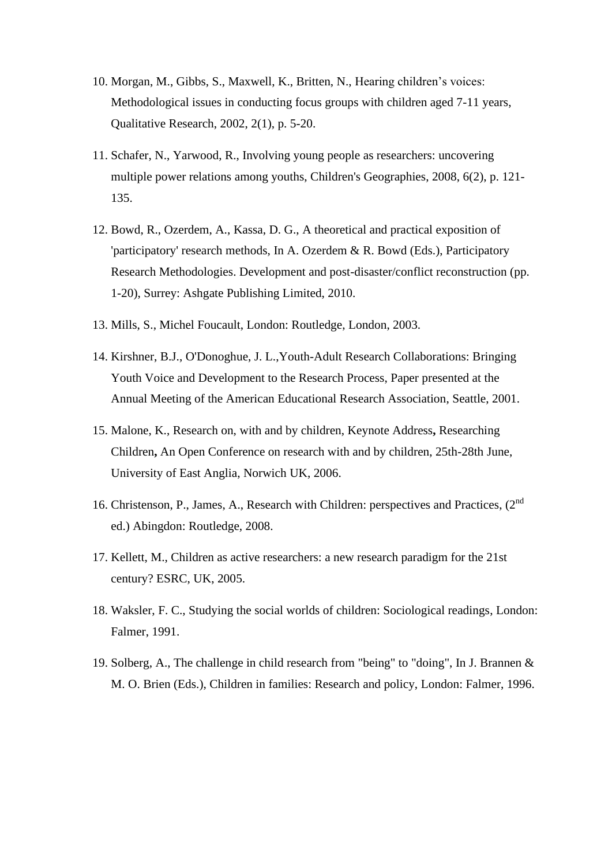- 10. Morgan, M., Gibbs, S., Maxwell, K., Britten, N., Hearing children's voices: Methodological issues in conducting focus groups with children aged 7-11 years, Qualitative Research, 2002, 2(1), p. 5-20.
- 11. Schafer, N., Yarwood, R., Involving young people as researchers: uncovering multiple power relations among youths, Children's Geographies, 2008, 6(2), p. 121- 135.
- 12. Bowd, R., Ozerdem, A., Kassa, D. G., A theoretical and practical exposition of 'participatory' research methods, In A. Ozerdem & R. Bowd (Eds.), Participatory Research Methodologies. Development and post-disaster/conflict reconstruction (pp. 1-20), Surrey: Ashgate Publishing Limited, 2010.
- 13. Mills, S., Michel Foucault, London: Routledge, London, 2003.
- 14. Kirshner, B.J., O'Donoghue, J. L.,Youth-Adult Research Collaborations: Bringing Youth Voice and Development to the Research Process, Paper presented at the Annual Meeting of the American Educational Research Association, Seattle, 2001.
- 15. Malone, K., Research on, with and by children, Keynote Address**,** Researching Children**,** An Open Conference on research with and by children, 25th-28th June, University of East Anglia, Norwich UK, 2006.
- 16. Christenson, P., James, A., Research with Children: perspectives and Practices, (2nd ed.) Abingdon: Routledge, 2008.
- 17. Kellett, M., Children as active researchers: a new research paradigm for the 21st century? ESRC, UK, 2005.
- 18. Waksler, F. C., Studying the social worlds of children: Sociological readings, London: Falmer, 1991.
- 19. Solberg, A., The challenge in child research from "being" to "doing", In J. Brannen & M. O. Brien (Eds.), Children in families: Research and policy, London: Falmer, 1996.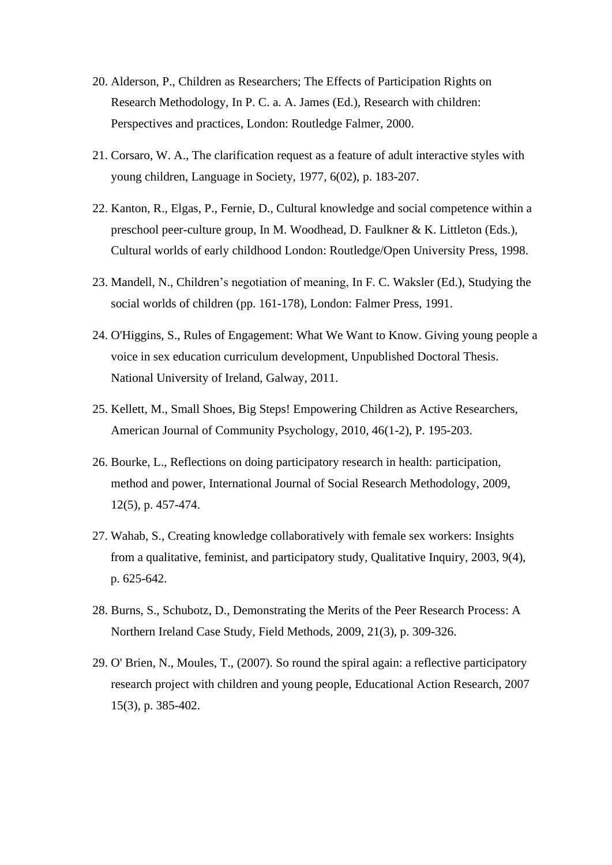- 20. Alderson, P., Children as Researchers; The Effects of Participation Rights on Research Methodology, In P. C. a. A. James (Ed.), Research with children: Perspectives and practices, London: Routledge Falmer, 2000.
- 21. Corsaro, W. A., The clarification request as a feature of adult interactive styles with young children, Language in Society, 1977, 6(02), p. 183-207.
- 22. Kanton, R., Elgas, P., Fernie, D., Cultural knowledge and social competence within a preschool peer-culture group, In M. Woodhead, D. Faulkner & K. Littleton (Eds.), Cultural worlds of early childhood London: Routledge/Open University Press, 1998.
- 23. Mandell, N., Children's negotiation of meaning, In F. C. Waksler (Ed.), Studying the social worlds of children (pp. 161-178), London: Falmer Press, 1991.
- 24. O'Higgins, S., Rules of Engagement: What We Want to Know. Giving young people a voice in sex education curriculum development, Unpublished Doctoral Thesis. National University of Ireland, Galway, 2011.
- 25. Kellett, M., Small Shoes, Big Steps! Empowering Children as Active Researchers, American Journal of Community Psychology, 2010, 46(1-2), P. 195-203.
- 26. Bourke, L., Reflections on doing participatory research in health: participation, method and power, International Journal of Social Research Methodology, 2009, 12(5), p. 457-474.
- 27. Wahab, S., Creating knowledge collaboratively with female sex workers: Insights from a qualitative, feminist, and participatory study, Qualitative Inquiry, 2003, 9(4), p. 625-642.
- 28. Burns, S., Schubotz, D., Demonstrating the Merits of the Peer Research Process: A Northern Ireland Case Study, Field Methods, 2009, 21(3), p. 309-326.
- 29. O' Brien, N., Moules, T., (2007). So round the spiral again: a reflective participatory research project with children and young people, Educational Action Research, 2007 15(3), p. 385-402.